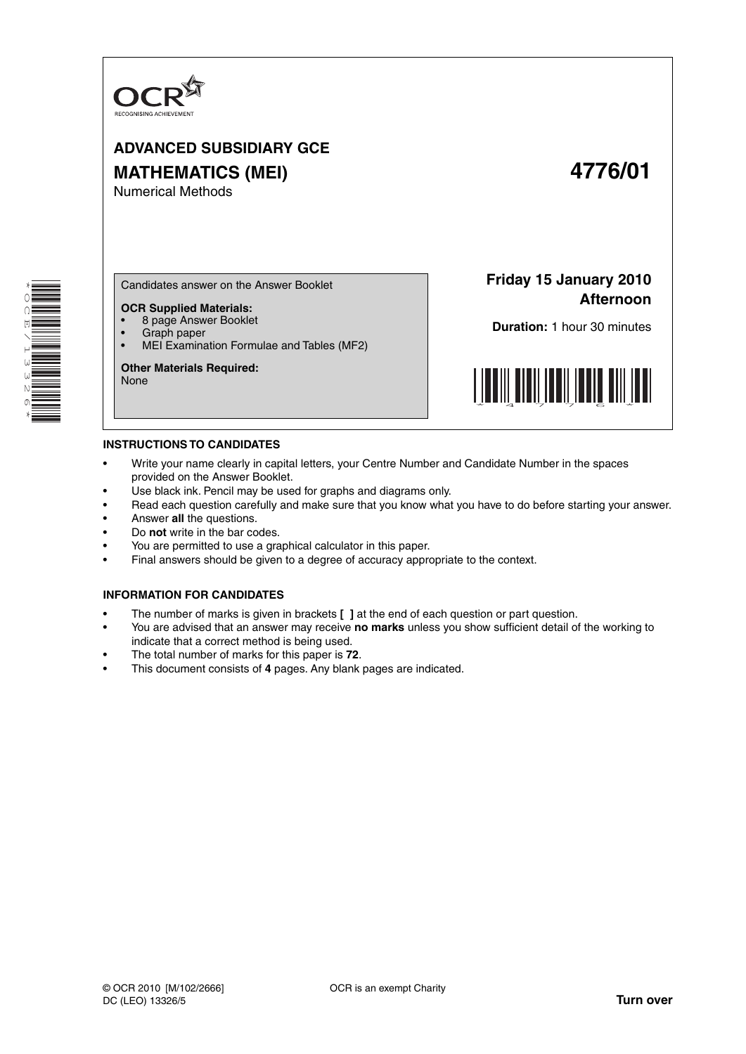

# **ADVANCED SUBSIDIARY GCE MATHEMATICS (MEI) 4776/01** Numerical Methods

\* O<br>Q E  $\overline{\phantom{0}}$  $\overline{a}$ w<br>W N 0 \*

Candidates answer on the Answer Booklet

- **OCR Supplied Materials:**
- 8 page Answer Booklet
- Graph paper<br>• MELExaming
- MEI Examination Formulae and Tables (MF2)

**Other Materials Required:** None

**Friday 15 January 2010 Afternoon**

**Duration:** 1 hour 30 minutes



### **INSTRUCTIONS TO CANDIDATES**

- Write your name clearly in capital letters, your Centre Number and Candidate Number in the spaces provided on the Answer Booklet.
- Use black ink. Pencil may be used for graphs and diagrams only.
- Read each question carefully and make sure that you know what you have to do before starting your answer.
- Answer **all** the questions.
- Do **not** write in the bar codes.
- You are permitted to use a graphical calculator in this paper.
- Final answers should be given to a degree of accuracy appropriate to the context.

#### **INFORMATION FOR CANDIDATES**

- The number of marks is given in brackets **[ ]** at the end of each question or part question.
- You are advised that an answer may receive **no marks** unless you show sufficient detail of the working to indicate that a correct method is being used.
- The total number of marks for this paper is **72**.
- This document consists of **4** pages. Any blank pages are indicated.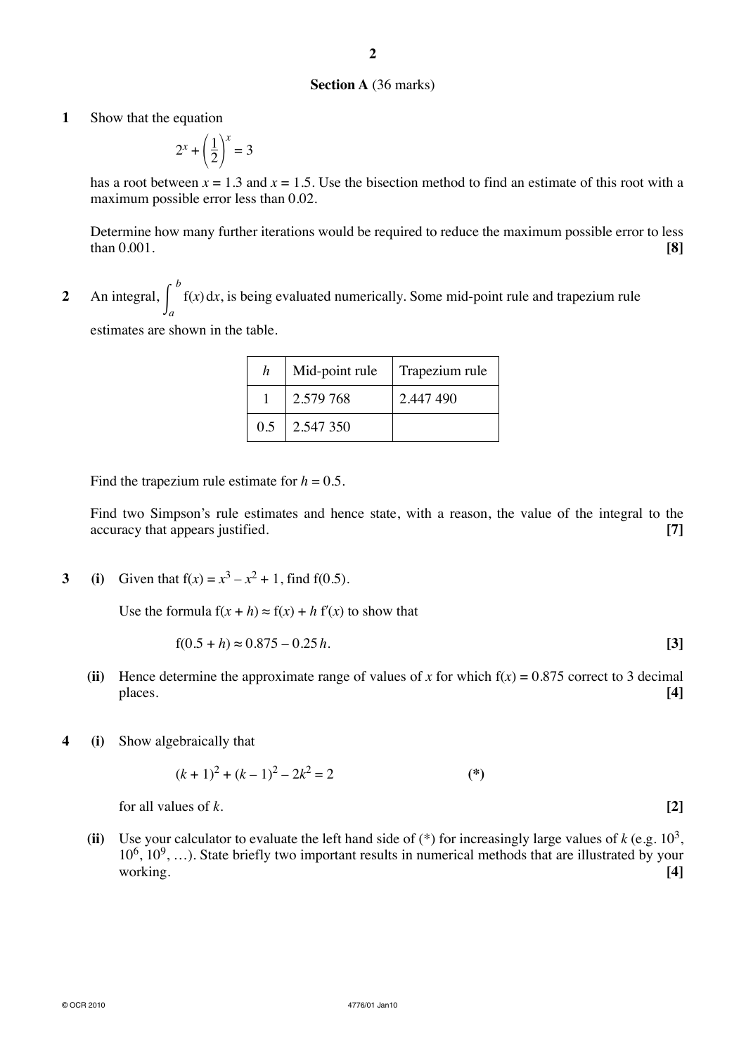# **Section A** (36 marks)

**1** Show that the equation

$$
2^x + \left(\frac{1}{2}\right)^x = 3
$$

has a root between  $x = 1.3$  and  $x = 1.5$ . Use the bisection method to find an estimate of this root with a maximum possible error less than 0.02.

 Determine how many further iterations would be required to reduce the maximum possible error to less than 0.001. **[8]**

**2** An integral,  $\int_{a}^{b}$ *a* f(*x*) d*x*, is being evaluated numerically. Some mid-point rule and trapezium rule

estimates are shown in the table.

| h   | Mid-point rule | Trapezium rule |  |
|-----|----------------|----------------|--|
|     | 2.579 768      | 2.447 490      |  |
| 0.5 | 2.547350       |                |  |

Find the trapezium rule estimate for  $h = 0.5$ .

 Find two Simpson's rule estimates and hence state, with a reason, the value of the integral to the accuracy that appears justified. **[7]**

**3** (i) Given that  $f(x) = x^3 - x^2 + 1$ , find  $f(0.5)$ .

Use the formula  $f(x + h) \approx f(x) + h f'(x)$  to show that

$$
f(0.5 + h) \approx 0.875 - 0.25 h.
$$
 [3]

- (ii) Hence determine the approximate range of values of *x* for which  $f(x) = 0.875$  correct to 3 decimal places. **[4]**
- **4 (i)** Show algebraically that

$$
(k+1)^2 + (k-1)^2 - 2k^2 = 2
$$
 (\*)

**for all values of** *k***.**  $[2]$ 

**(ii)** Use your calculator to evaluate the left hand side of  $(*)$  for increasingly large values of  $k$  (e.g. 10<sup>3</sup>,  $10^6, 10^9, \ldots$ ). State briefly two important results in numerical methods that are illustrated by your working. **[4]**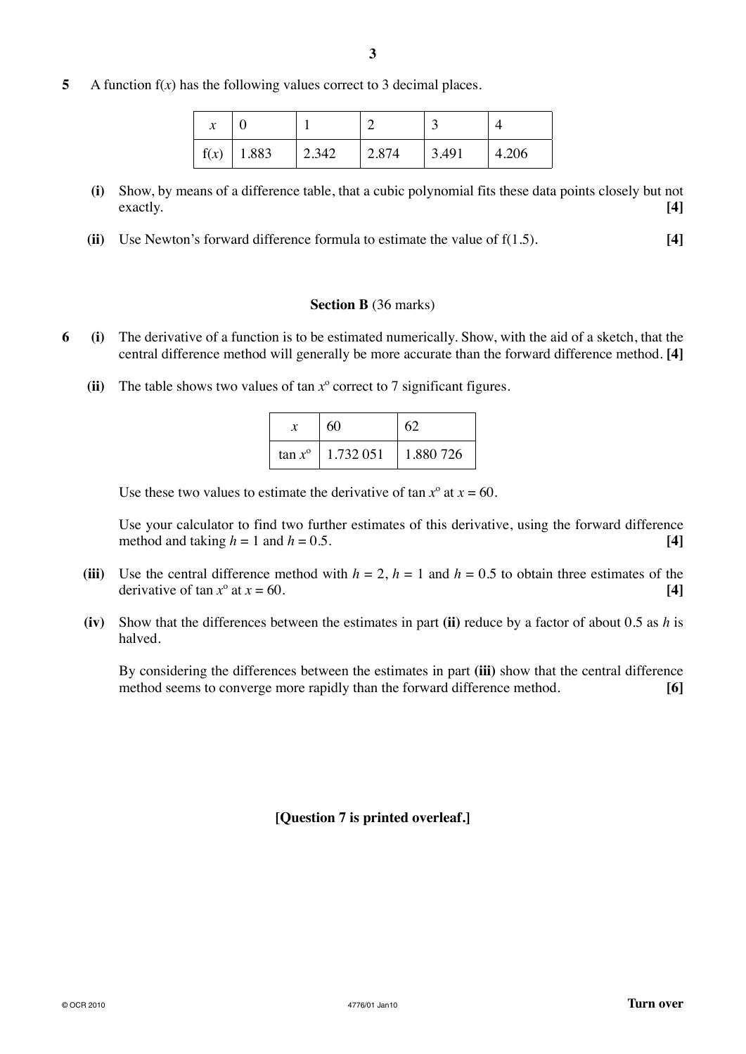**5** A function f(*x*) has the following values correct to 3 decimal places.

| $\mathcal{X}$ |               |       |       | $\ddot{\phantom{1}}$ |       |
|---------------|---------------|-------|-------|----------------------|-------|
| f(x)          | $\vert$ 1.883 | 2.342 | 2.874 | 3.491                | 4.206 |

- **(i)** Show, by means of a difference table, that a cubic polynomial fits these data points closely but not exactly. **[4]**
- **(ii)** Use Newton's forward difference formula to estimate the value of f(1.5). **[4]**

# **Section B** (36 marks)

- **6 (i)** The derivative of a function is to be estimated numerically. Show, with the aid of a sketch, that the central difference method will generally be more accurate than the forward difference method. **[4]**
	- **(ii)** The table shows two values of tan *x*º correct to 7 significant figures.

|                  | 60        | 62        |  |
|------------------|-----------|-----------|--|
| $\tan x^{\circ}$ | 1.732 051 | 1.880.726 |  |

Use these two values to estimate the derivative of tan  $x^{\circ}$  at  $x = 60$ .

 Use your calculator to find two further estimates of this derivative, using the forward difference method and taking  $h = 1$  and  $h = 0.5$ .

- **(iii)** Use the central difference method with  $h = 2$ ,  $h = 1$  and  $h = 0.5$  to obtain three estimates of the derivative of tan  $x^{\circ}$  at  $x = 60$ . [4]
- **(iv)** Show that the differences between the estimates in part **(ii)** reduce by a factor of about 0.5 as *h* is halved.

By considering the differences between the estimates in part **(iii)** show that the central difference method seems to converge more rapidly than the forward difference method. **[6]**

**[Question 7 is printed overleaf.]**